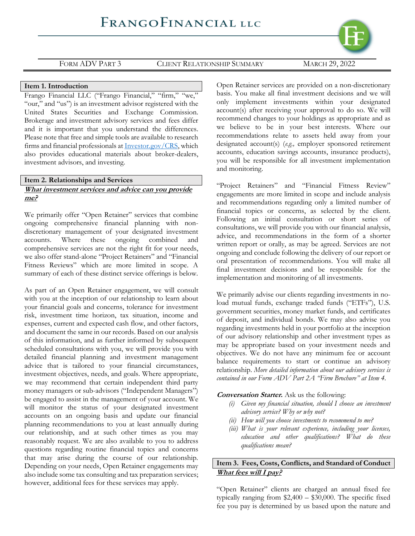

### **Item 1. Introduction**

Frango Financial LLC ("Frango Financial," "firm," "we," "our," and "us") is an investment advisor registered with the United States Securities and Exchange Commission. Brokerage and investment advisory services and fees differ and it is important that you understand the differences. Please note that free and simple tools are available to research firms and financial professionals at [Investor.gov/CRS,](https://www.investor.gov/CRS) which also provides educational materials about broker-dealers, investment advisors, and investing.

# **Item 2. Relationships and Services What investment services and advice can you provide me?**

We primarily offer "Open Retainer" services that combine ongoing comprehensive financial planning with nondiscretionary management of your designated investment accounts. Where these ongoing combined and comprehensive services are not the right fit for your needs, we also offer stand-alone "Project Retainers" and "Financial Fitness Reviews" which are more limited in scope. A summary of each of these distinct service offerings is below.

As part of an Open Retainer engagement, we will consult with you at the inception of our relationship to learn about your financial goals and concerns, tolerance for investment risk, investment time horizon, tax situation, income and expenses, current and expected cash flow, and other factors, and document the same in our records. Based on our analysis of this information, and as further informed by subsequent scheduled consultations with you, we will provide you with detailed financial planning and investment management advice that is tailored to your financial circumstances, investment objectives, needs, and goals. Where appropriate, we may recommend that certain independent third party money managers or sub-advisors ("Independent Managers") be engaged to assist in the management of your account. We will monitor the status of your designated investment accounts on an ongoing basis and update our financial planning recommendations to you at least annually during our relationship, and at such other times as you may reasonably request. We are also available to you to address questions regarding routine financial topics and concerns that may arise during the course of our relationship. Depending on your needs, Open Retainer engagements may also include some tax consulting and tax preparation services; however, additional fees for these services may apply.

Open Retainer services are provided on a non-discretionary basis. You make all final investment decisions and we will only implement investments within your designated account(s) after receiving your approval to do so. We will recommend changes to your holdings as appropriate and as we believe to be in your best interests. Where our recommendations relate to assets held away from your designated account(s) (*e.g.,* employer sponsored retirement accounts, education savings accounts, insurance products), you will be responsible for all investment implementation and monitoring.

"Project Retainers" and "Financial Fitness Review" engagements are more limited in scope and include analysis and recommendations regarding only a limited number of financial topics or concerns, as selected by the client. Following an initial consultation or short series of consultations, we will provide you with our financial analysis, advice, and recommendations in the form of a shorter written report or orally, as may be agreed. Services are not ongoing and conclude following the delivery of our report or oral presentation of recommendations. You will make all final investment decisions and be responsible for the implementation and monitoring of all investments.

We primarily advise our clients regarding investments in noload mutual funds, exchange traded funds ("ETFs"), U.S. government securities, money market funds, and certificates of deposit, and individual bonds. We may also advise you regarding investments held in your portfolio at the inception of our advisory relationship and other investment types as may be appropriate based on your investment needs and objectives. We do not have any minimum fee or account balance requirements to start or continue an advisory relationship. *More detailed information about our advisory services is contained in our Form ADV Part 2A "Firm Brochure" at Item 4.*

### **Conversation Starter.** Ask us the following:

- *(i) Given my financial situation, should I choose an investment advisory service? Why or why not?*
- *(ii) How will you choose investments to recommend to me?*
- *(iii) What is your relevant experience, including your licenses, education and other qualifications? What do these qualifications mean?*

# **Item 3. Fees, Costs, Conflicts, and Standard of Conduct What fees will I pay?**

"Open Retainer" clients are charged an annual fixed fee typically ranging from \$2,400 – \$30,000. The specific fixed fee you pay is determined by us based upon the nature and